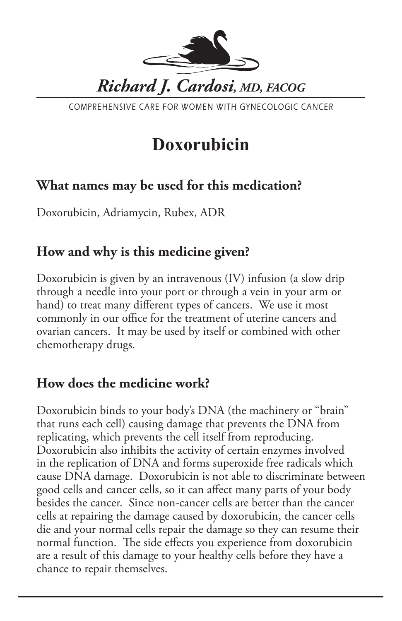

COMPREHENSIVE CARE FOR WOMEN WITH GYNECOLOGIC CANCER

# **Doxorubicin**

## **What names may be used for this medication?**

Doxorubicin, Adriamycin, Rubex, ADR

### **How and why is this medicine given?**

Doxorubicin is given by an intravenous (IV) infusion (a slow drip through a needle into your port or through a vein in your arm or hand) to treat many different types of cancers. We use it most commonly in our office for the treatment of uterine cancers and ovarian cancers. It may be used by itself or combined with other chemotherapy drugs.

#### **How does the medicine work?**

Doxorubicin binds to your body's DNA (the machinery or "brain" that runs each cell) causing damage that prevents the DNA from replicating, which prevents the cell itself from reproducing. Doxorubicin also inhibits the activity of certain enzymes involved in the replication of DNA and forms superoxide free radicals which cause DNA damage. Doxorubicin is not able to discriminate between good cells and cancer cells, so it can affect many parts of your body besides the cancer. Since non-cancer cells are better than the cancer cells at repairing the damage caused by doxorubicin, the cancer cells die and your normal cells repair the damage so they can resume their normal function. The side effects you experience from doxorubicin are a result of this damage to your healthy cells before they have a chance to repair themselves.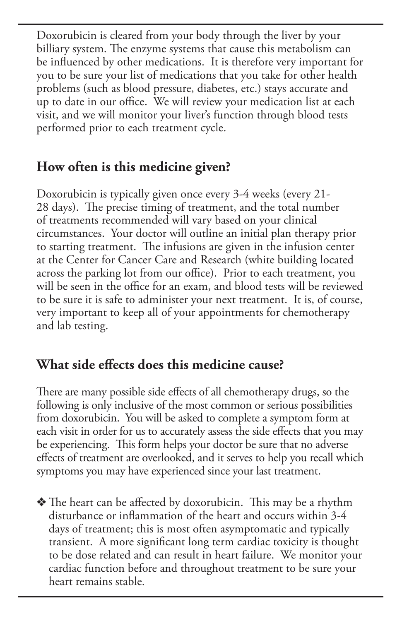Doxorubicin is cleared from your body through the liver by your billiary system. The enzyme systems that cause this metabolism can be influenced by other medications. It is therefore very important for you to be sure your list of medications that you take for other health problems (such as blood pressure, diabetes, etc.) stays accurate and up to date in our office. We will review your medication list at each visit, and we will monitor your liver's function through blood tests performed prior to each treatment cycle.

## **How often is this medicine given?**

Doxorubicin is typically given once every 3-4 weeks (every 21- 28 days). The precise timing of treatment, and the total number of treatments recommended will vary based on your clinical circumstances. Your doctor will outline an initial plan therapy prior to starting treatment. The infusions are given in the infusion center at the Center for Cancer Care and Research (white building located across the parking lot from our office). Prior to each treatment, you will be seen in the office for an exam, and blood tests will be reviewed to be sure it is safe to administer your next treatment. It is, of course, very important to keep all of your appointments for chemotherapy and lab testing.

#### **What side effects does this medicine cause?**

There are many possible side effects of all chemotherapy drugs, so the following is only inclusive of the most common or serious possibilities from doxorubicin. You will be asked to complete a symptom form at each visit in order for us to accurately assess the side effects that you may be experiencing. This form helps your doctor be sure that no adverse effects of treatment are overlooked, and it serves to help you recall which symptoms you may have experienced since your last treatment.

 $\triangle$  The heart can be affected by doxorubicin. This may be a rhythm disturbance or inflammation of the heart and occurs within 3-4 days of treatment; this is most often asymptomatic and typically transient. A more significant long term cardiac toxicity is thought to be dose related and can result in heart failure. We monitor your cardiac function before and throughout treatment to be sure your heart remains stable.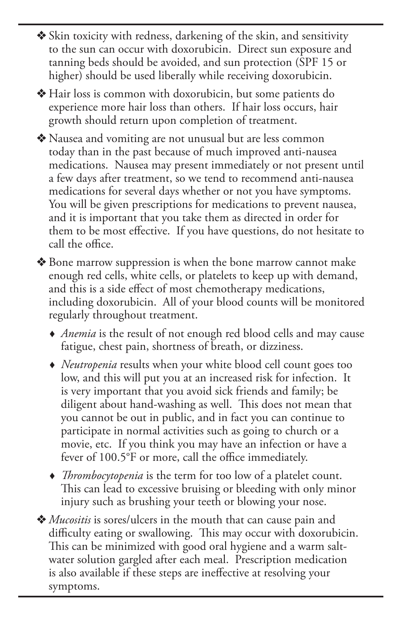$\triangleleft$  Skin toxicity with redness, darkening of the skin, and sensitivity to the sun can occur with doxorubicin. Direct sun exposure and tanning beds should be avoided, and sun protection (SPF 15 or higher) should be used liberally while receiving doxorubicin.

 $\triangleleft$  Hair loss is common with doxorubicin, but some patients do experience more hair loss than others. If hair loss occurs, hair growth should return upon completion of treatment.

v Nausea and vomiting are not unusual but are less common today than in the past because of much improved anti-nausea medications. Nausea may present immediately or not present until a few days after treatment, so we tend to recommend anti-nausea medications for several days whether or not you have symptoms. You will be given prescriptions for medications to prevent nausea, and it is important that you take them as directed in order for them to be most effective. If you have questions, do not hesitate to call the office.

◆ Bone marrow suppression is when the bone marrow cannot make enough red cells, white cells, or platelets to keep up with demand, and this is a side effect of most chemotherapy medications, including doxorubicin. All of your blood counts will be monitored regularly throughout treatment.

- *Anemia* is the result of not enough red blood cells and may cause fatigue, chest pain, shortness of breath, or dizziness.
- *Neutropenia* results when your white blood cell count goes too low, and this will put you at an increased risk for infection. It is very important that you avoid sick friends and family; be diligent about hand-washing as well. This does not mean that you cannot be out in public, and in fact you can continue to participate in normal activities such as going to church or a movie, etc. If you think you may have an infection or have a fever of 100.5°F or more, call the office immediately.
- *Thrombocytopenia* is the term for too low of a platelet count. This can lead to excessive bruising or bleeding with only minor injury such as brushing your teeth or blowing your nose.
- ◆ *Mucositis* is sores/ulcers in the mouth that can cause pain and difficulty eating or swallowing. This may occur with doxorubicin. This can be minimized with good oral hygiene and a warm saltwater solution gargled after each meal. Prescription medication is also available if these steps are ineffective at resolving your symptoms.